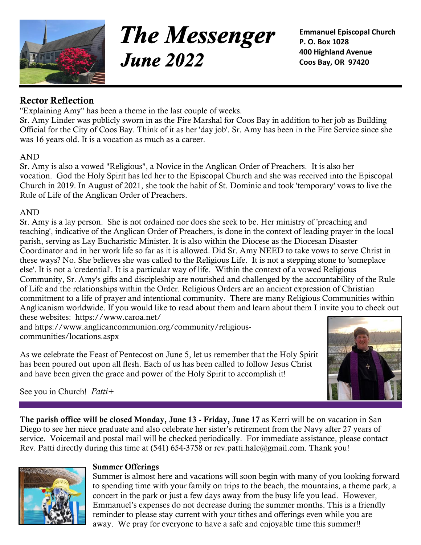

**The Messenger June 2022** 

**Emmanuel Episcopal Church P. O. Box 1028 400 Highland Avenue Coos Bay, OR 97420**

# **Rector Reflection**

"Explaining Amy" has been a theme in the last couple of weeks.

Sr. Amy Linder was publicly sworn in as the Fire Marshal for Coos Bay in addition to her job as Building Official for the City of Coos Bay. Think of it as her 'day job'. Sr. Amy has been in the Fire Service since she was 16 years old. It is a vocation as much as a career.

#### AND

Sr. Amy is also a vowed "Religious", a Novice in the Anglican Order of Preachers. It is also her vocation. God the Holy Spirit has led her to the Episcopal Church and she was received into the Episcopal Church in 2019. In August of 2021, she took the habit of St. Dominic and took 'temporary' vows to live the Rule of Life of the Anglican Order of Preachers.

### AND

Sr. Amy is a lay person. She is not ordained nor does she seek to be. Her ministry of 'preaching and teaching', indicative of the Anglican Order of Preachers, is done in the context of leading prayer in the local parish, serving as Lay Eucharistic Minister. It is also within the Diocese as the Diocesan Disaster Coordinator and in her work life so far as it is allowed. Did Sr. Amy NEED to take vows to serve Christ in these ways? No. She believes she was called to the Religious Life. It is not a stepping stone to 'someplace else'. It is not a 'credential'. It is a particular way of life. Within the context of a vowed Religious Community, Sr. Amy's gifts and discipleship are nourished and challenged by the accountability of the Rule of Life and the relationships within the Order. Religious Orders are an ancient expression of Christian commitment to a life of prayer and intentional community. There are many Religious Communities within Anglicanism worldwide. If you would like to read about them and learn about them I invite you to check out these websites: <https://www.caroa.net/>

and [https://www.anglicancommunion.org/community/religious](https://www.anglicancommunion.org/community/religious-communities/locations.aspx)[communities/locations.aspx](https://www.anglicancommunion.org/community/religious-communities/locations.aspx)

As we celebrate the Feast of Pentecost on June 5, let us remember that the Holy Spirit has been poured out upon all flesh. Each of us has been called to follow Jesus Christ and have been given the grace and power of the Holy Spirit to accomplish it!



See you in Church! *Patti+*

**The parish office will be closed Monday, June 13 - Friday, June 17** as Kerri will be on vacation in San Diego to see her niece graduate and also celebrate her sister's retirement from the Navy after 27 years of service. Voicemail and postal mail will be checked periodically. For immediate assistance, please contact Rev. Patti directly during this time at (541) 654-3758 or [rev.patti.hale@gmail.com.](mailto:rev.patti.hale@gmail.com) Thank you!



#### **Summer Offerings**

Summer is almost here and vacations will soon begin with many of you looking forward to spending time with your family on trips to the beach, the mountains, a theme park, a concert in the park or just a few days away from the busy life you lead. However, Emmanuel's expenses do not decrease during the summer months. This is a friendly reminder to please stay current with your tithes and offerings even while you are away. We pray for everyone to have a safe and enjoyable time this summer!!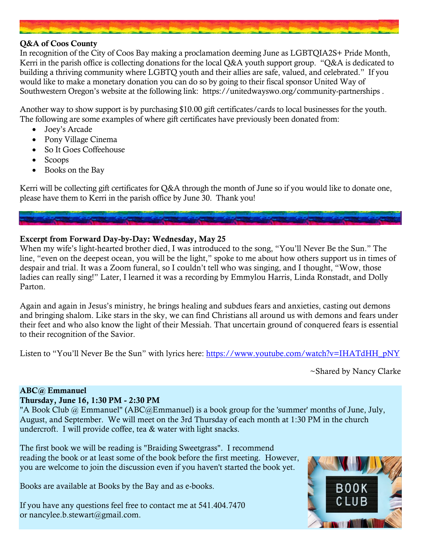#### **Q&A of Coos County**

In recognition of the City of Coos Bay making a proclamation deeming June as LGBTQIA2S+ Pride Month, Kerri in the parish office is collecting donations for the local Q&A youth support group. "Q&A is dedicated to building a thriving community where LGBTQ youth and their allies are safe, valued, and celebrated." If you would like to make a monetary donation you can do so by going to their fiscal sponsor United Way of Southwestern Oregon's website at the following link: <https://unitedwayswo.org/community-partnerships> .

Another way to show support is by purchasing \$10.00 gift certificates/cards to local businesses for the youth. The following are some examples of where gift certificates have previously been donated from:

- Joey's Arcade
- Pony Village Cinema
- So It Goes Coffeehouse
- Scoops
- Books on the Bay

Kerri will be collecting gift certificates for Q&A through the month of June so if you would like to donate one, please have them to Kerri in the parish office by June 30. Thank you!

# **Excerpt from Forward Day-by-Day: Wednesday, May 25**

When my wife's light-hearted brother died, I was introduced to the song, "You'll Never Be the Sun." The line, "even on the deepest ocean, you will be the light," spoke to me about how others support us in times of despair and trial. It was a Zoom funeral, so I couldn't tell who was singing, and I thought, "Wow, those ladies can really sing!" Later, I learned it was a recording by Emmylou Harris, Linda Ronstadt, and Dolly Parton.

Again and again in Jesus's ministry, he brings healing and subdues fears and anxieties, casting out demons and bringing shalom. Like stars in the sky, we can find Christians all around us with demons and fears under their feet and who also know the light of their Messiah. That uncertain ground of conquered fears is essential to their recognition of the Savior.

Listen to "You'll Never Be the Sun" with lyrics here: [https://www.youtube.com/watch?v=IHATdHH\\_pNY](https://www.youtube.com/watch?v=IHATdHH_pNY)

~Shared by Nancy Clarke

#### **ABC@ Emmanuel**

#### **Thursday, June 16, 1:30 PM - 2:30 PM**

"A Book Club @ Emmanuel" (ABC@Emmanuel) is a book group for the 'summer' months of June, July, August, and September. We will meet on the 3rd Thursday of each month at 1:30 PM in the church undercroft. I will provide coffee, tea & water with light snacks.

The first book we will be reading is "Braiding Sweetgrass". I recommend reading the book or at least some of the book before the first meeting. However, you are welcome to join the discussion even if you haven't started the book yet.

Books are available at Books by the Bay and as e-books.

If you have any questions feel free to contact me at 541.404.7470 or [nancylee.b.stewart@gmail.com.](mailto:nancylee.b.stewart@gmail.com)

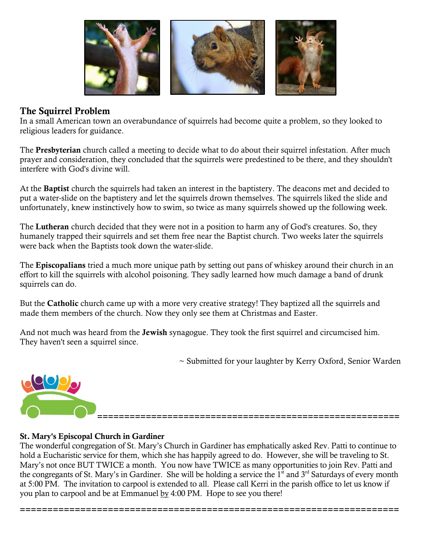

# **The Squirrel Problem**

In a small American town an overabundance of squirrels had become quite a problem, so they looked to religious leaders for guidance.

The **Presbyterian** church called a meeting to decide what to do about their squirrel infestation. After much prayer and consideration, they concluded that the squirrels were predestined to be there, and they shouldn't interfere with God's divine will.

At the **Baptist** church the squirrels had taken an interest in the baptistery. The deacons met and decided to put a water-slide on the baptistery and let the squirrels drown themselves. The squirrels liked the slide and unfortunately, knew instinctively how to swim, so twice as many squirrels showed up the following week.

The **Lutheran** church decided that they were not in a position to harm any of God's creatures. So, they humanely trapped their squirrels and set them free near the Baptist church. Two weeks later the squirrels were back when the Baptists took down the water-slide.

The **Episcopalians** tried a much more unique path by setting out pans of whiskey around their church in an effort to kill the squirrels with alcohol poisoning. They sadly learned how much damage a band of drunk squirrels can do.

But the **Catholic** church came up with a more very creative strategy! They baptized all the squirrels and made them members of the church. Now they only see them at Christmas and Easter.

And not much was heard from the **Jewish** synagogue. They took the first squirrel and circumcised him. They haven't seen a squirrel since.

~ Submitted for your laughter by Kerry Oxford, Senior Warden

**========================================================**



# **St. Mary's Episcopal Church in Gardiner**

The wonderful congregation of St. Mary's Church in Gardiner has emphatically asked Rev. Patti to continue to hold a Eucharistic service for them, which she has happily agreed to do. However, she will be traveling to St. Mary's not once BUT TWICE a month. You now have TWICE as many opportunities to join Rev. Patti and the congregants of St. Mary's in Gardiner. She will be holding a service the  $1<sup>st</sup>$  and  $3<sup>rd</sup>$  Saturdays of every month at 5:00 PM. The invitation to carpool is extended to all. Please call Kerri in the parish office to let us know if you plan to carpool and be at Emmanuel by 4:00 PM. Hope to see you there!

**=====================================================================**